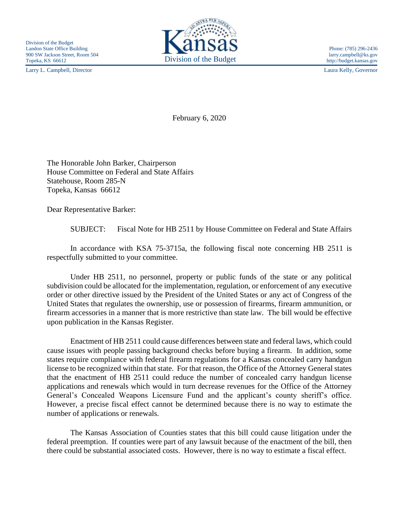Larry L. Campbell, Director Laura Kelly, Governor



http://budget.kansas.gov

February 6, 2020

The Honorable John Barker, Chairperson House Committee on Federal and State Affairs Statehouse, Room 285-N Topeka, Kansas 66612

Dear Representative Barker:

SUBJECT: Fiscal Note for HB 2511 by House Committee on Federal and State Affairs

In accordance with KSA 75-3715a, the following fiscal note concerning HB 2511 is respectfully submitted to your committee.

Under HB 2511, no personnel, property or public funds of the state or any political subdivision could be allocated for the implementation, regulation, or enforcement of any executive order or other directive issued by the President of the United States or any act of Congress of the United States that regulates the ownership, use or possession of firearms, firearm ammunition, or firearm accessories in a manner that is more restrictive than state law. The bill would be effective upon publication in the Kansas Register.

Enactment of HB 2511 could cause differences between state and federal laws, which could cause issues with people passing background checks before buying a firearm. In addition, some states require compliance with federal firearm regulations for a Kansas concealed carry handgun license to be recognized within that state. For that reason, the Office of the Attorney General states that the enactment of HB 2511 could reduce the number of concealed carry handgun license applications and renewals which would in turn decrease revenues for the Office of the Attorney General's Concealed Weapons Licensure Fund and the applicant's county sheriff's office. However, a precise fiscal effect cannot be determined because there is no way to estimate the number of applications or renewals.

The Kansas Association of Counties states that this bill could cause litigation under the federal preemption. If counties were part of any lawsuit because of the enactment of the bill, then there could be substantial associated costs. However, there is no way to estimate a fiscal effect.